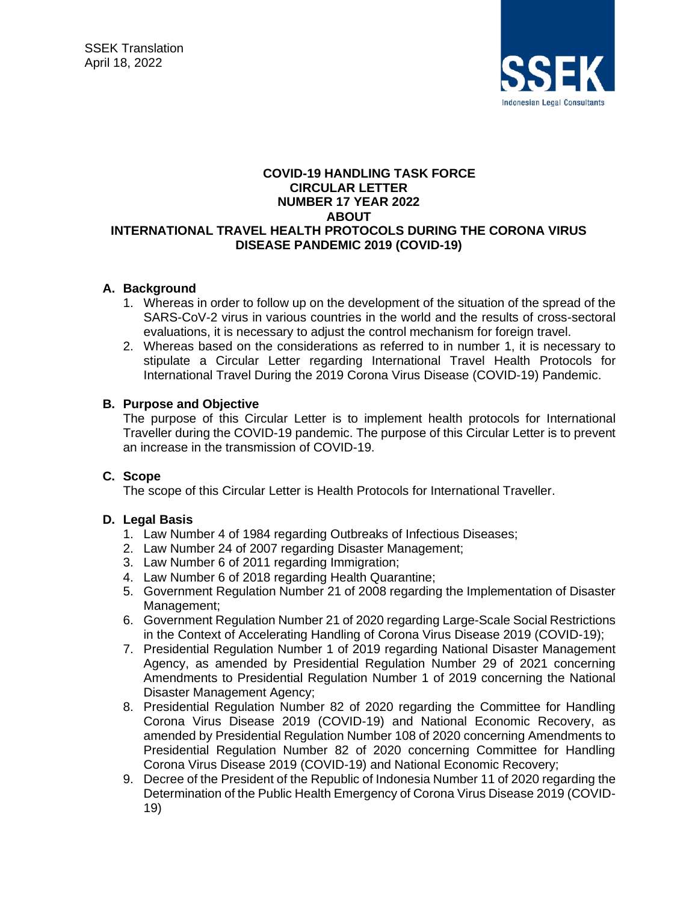

#### **COVID-19 HANDLING TASK FORCE CIRCULAR LETTER NUMBER 17 YEAR 2022 ABOUT INTERNATIONAL TRAVEL HEALTH PROTOCOLS DURING THE CORONA VIRUS DISEASE PANDEMIC 2019 (COVID-19)**

## **A. Background**

- 1. Whereas in order to follow up on the development of the situation of the spread of the SARS-CoV-2 virus in various countries in the world and the results of cross-sectoral evaluations, it is necessary to adjust the control mechanism for foreign travel.
- 2. Whereas based on the considerations as referred to in number 1, it is necessary to stipulate a Circular Letter regarding International Travel Health Protocols for International Travel During the 2019 Corona Virus Disease (COVID-19) Pandemic.

## **B. Purpose and Objective**

The purpose of this Circular Letter is to implement health protocols for International Traveller during the COVID-19 pandemic. The purpose of this Circular Letter is to prevent an increase in the transmission of COVID-19.

### **C. Scope**

The scope of this Circular Letter is Health Protocols for International Traveller.

### **D. Legal Basis**

- 1. Law Number 4 of 1984 regarding Outbreaks of Infectious Diseases;
- 2. Law Number 24 of 2007 regarding Disaster Management;
- 3. Law Number 6 of 2011 regarding Immigration;
- 4. Law Number 6 of 2018 regarding Health Quarantine;
- 5. Government Regulation Number 21 of 2008 regarding the Implementation of Disaster Management;
- 6. Government Regulation Number 21 of 2020 regarding Large-Scale Social Restrictions in the Context of Accelerating Handling of Corona Virus Disease 2019 (COVID-19);
- 7. Presidential Regulation Number 1 of 2019 regarding National Disaster Management Agency, as amended by Presidential Regulation Number 29 of 2021 concerning Amendments to Presidential Regulation Number 1 of 2019 concerning the National Disaster Management Agency;
- 8. Presidential Regulation Number 82 of 2020 regarding the Committee for Handling Corona Virus Disease 2019 (COVID-19) and National Economic Recovery, as amended by Presidential Regulation Number 108 of 2020 concerning Amendments to Presidential Regulation Number 82 of 2020 concerning Committee for Handling Corona Virus Disease 2019 (COVID-19) and National Economic Recovery;
- 9. Decree of the President of the Republic of Indonesia Number 11 of 2020 regarding the Determination of the Public Health Emergency of Corona Virus Disease 2019 (COVID-19)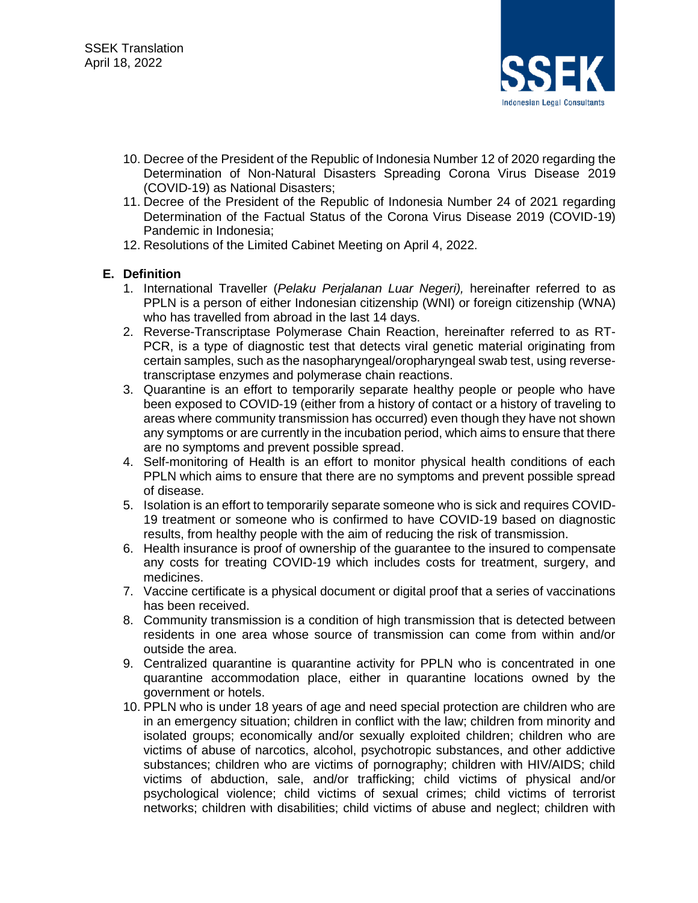

- 10. Decree of the President of the Republic of Indonesia Number 12 of 2020 regarding the Determination of Non-Natural Disasters Spreading Corona Virus Disease 2019 (COVID-19) as National Disasters;
- 11. Decree of the President of the Republic of Indonesia Number 24 of 2021 regarding Determination of the Factual Status of the Corona Virus Disease 2019 (COVID-19) Pandemic in Indonesia;
- 12. Resolutions of the Limited Cabinet Meeting on April 4, 2022.

### **E. Definition**

- 1. International Traveller (*Pelaku Perjalanan Luar Negeri),* hereinafter referred to as PPLN is a person of either Indonesian citizenship (WNI) or foreign citizenship (WNA) who has travelled from abroad in the last 14 days.
- 2. Reverse-Transcriptase Polymerase Chain Reaction, hereinafter referred to as RT-PCR, is a type of diagnostic test that detects viral genetic material originating from certain samples, such as the nasopharyngeal/oropharyngeal swab test, using reversetranscriptase enzymes and polymerase chain reactions.
- 3. Quarantine is an effort to temporarily separate healthy people or people who have been exposed to COVID-19 (either from a history of contact or a history of traveling to areas where community transmission has occurred) even though they have not shown any symptoms or are currently in the incubation period, which aims to ensure that there are no symptoms and prevent possible spread.
- 4. Self-monitoring of Health is an effort to monitor physical health conditions of each PPLN which aims to ensure that there are no symptoms and prevent possible spread of disease.
- 5. Isolation is an effort to temporarily separate someone who is sick and requires COVID-19 treatment or someone who is confirmed to have COVID-19 based on diagnostic results, from healthy people with the aim of reducing the risk of transmission.
- 6. Health insurance is proof of ownership of the guarantee to the insured to compensate any costs for treating COVID-19 which includes costs for treatment, surgery, and medicines.
- 7. Vaccine certificate is a physical document or digital proof that a series of vaccinations has been received.
- 8. Community transmission is a condition of high transmission that is detected between residents in one area whose source of transmission can come from within and/or outside the area.
- 9. Centralized quarantine is quarantine activity for PPLN who is concentrated in one quarantine accommodation place, either in quarantine locations owned by the government or hotels.
- 10. PPLN who is under 18 years of age and need special protection are children who are in an emergency situation; children in conflict with the law; children from minority and isolated groups; economically and/or sexually exploited children; children who are victims of abuse of narcotics, alcohol, psychotropic substances, and other addictive substances; children who are victims of pornography; children with HIV/AIDS; child victims of abduction, sale, and/or trafficking; child victims of physical and/or psychological violence; child victims of sexual crimes; child victims of terrorist networks; children with disabilities; child victims of abuse and neglect; children with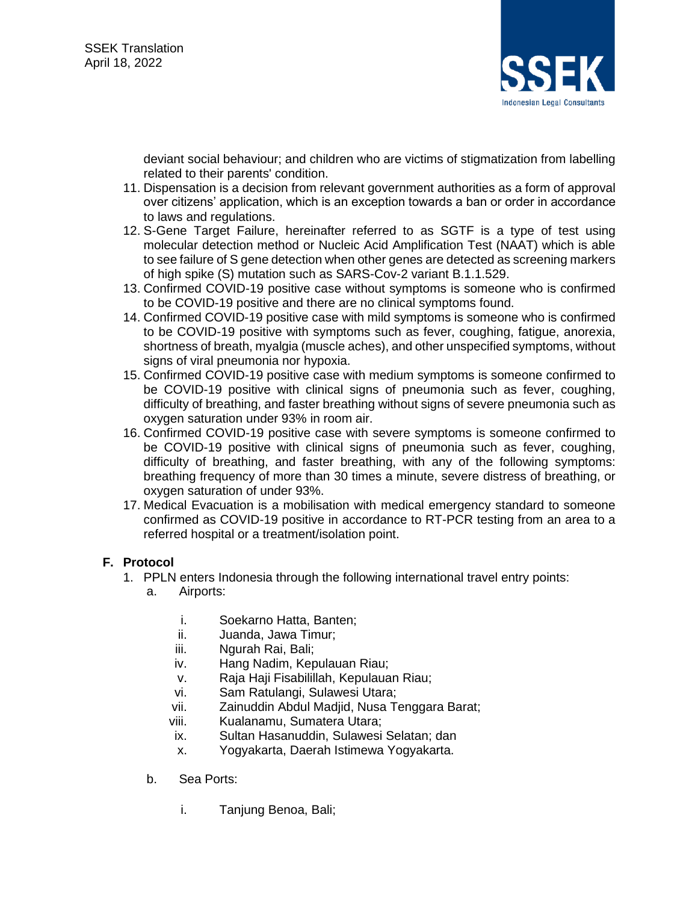

deviant social behaviour; and children who are victims of stigmatization from labelling related to their parents' condition.

- 11. Dispensation is a decision from relevant government authorities as a form of approval over citizens' application, which is an exception towards a ban or order in accordance to laws and regulations.
- 12. S-Gene Target Failure, hereinafter referred to as SGTF is a type of test using molecular detection method or Nucleic Acid Amplification Test (NAAT) which is able to see failure of S gene detection when other genes are detected as screening markers of high spike (S) mutation such as SARS-Cov-2 variant B.1.1.529.
- 13. Confirmed COVID-19 positive case without symptoms is someone who is confirmed to be COVID-19 positive and there are no clinical symptoms found.
- 14. Confirmed COVID-19 positive case with mild symptoms is someone who is confirmed to be COVID-19 positive with symptoms such as fever, coughing, fatigue, anorexia, shortness of breath, myalgia (muscle aches), and other unspecified symptoms, without signs of viral pneumonia nor hypoxia.
- 15. Confirmed COVID-19 positive case with medium symptoms is someone confirmed to be COVID-19 positive with clinical signs of pneumonia such as fever, coughing, difficulty of breathing, and faster breathing without signs of severe pneumonia such as oxygen saturation under 93% in room air.
- 16. Confirmed COVID-19 positive case with severe symptoms is someone confirmed to be COVID-19 positive with clinical signs of pneumonia such as fever, coughing, difficulty of breathing, and faster breathing, with any of the following symptoms: breathing frequency of more than 30 times a minute, severe distress of breathing, or oxygen saturation of under 93%.
- 17. Medical Evacuation is a mobilisation with medical emergency standard to someone confirmed as COVID-19 positive in accordance to RT-PCR testing from an area to a referred hospital or a treatment/isolation point.

# **F. Protocol**

- 1. PPLN enters Indonesia through the following international travel entry points:
	- a. Airports:
		- i. Soekarno Hatta, Banten;
		- ii. Juanda, Jawa Timur;
		- iii. Ngurah Rai, Bali;
		- iv. Hang Nadim, Kepulauan Riau;
		- v. Raja Haji Fisabilillah, Kepulauan Riau;
		- vi. Sam Ratulangi, Sulawesi Utara;
		- vii. Zainuddin Abdul Madjid, Nusa Tenggara Barat;
		- viii. Kualanamu, Sumatera Utara;
		- ix. Sultan Hasanuddin, Sulawesi Selatan; dan
		- x. Yogyakarta, Daerah Istimewa Yogyakarta.
	- b. Sea Ports:
		- i. Tanjung Benoa, Bali;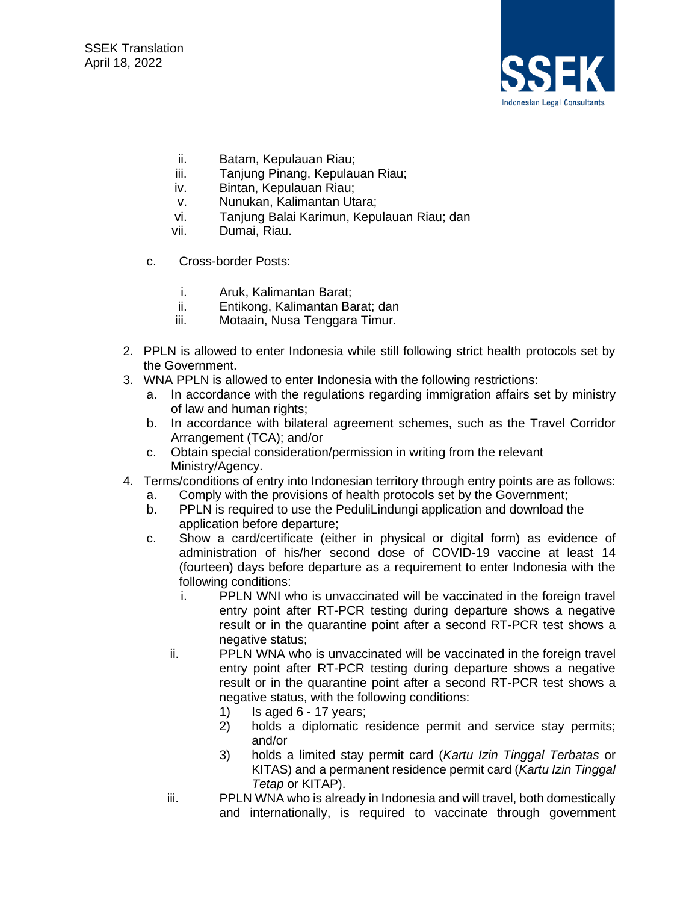

- ii. Batam, Kepulauan Riau;
- iii. Tanjung Pinang, Kepulauan Riau;
- iv. Bintan, Kepulauan Riau;
- v. Nunukan, Kalimantan Utara;
- vi. Tanjung Balai Karimun, Kepulauan Riau; dan
- vii. Dumai, Riau.
- c. Cross-border Posts:
	- i. Aruk, Kalimantan Barat;
	- ii. Entikong, Kalimantan Barat; dan
	- iii. Motaain, Nusa Tenggara Timur.
- 2. PPLN is allowed to enter Indonesia while still following strict health protocols set by the Government.
- 3. WNA PPLN is allowed to enter Indonesia with the following restrictions:
	- a. In accordance with the regulations regarding immigration affairs set by ministry of law and human rights;
	- b. In accordance with bilateral agreement schemes, such as the Travel Corridor Arrangement (TCA); and/or
	- c. Obtain special consideration/permission in writing from the relevant Ministry/Agency.
- 4. Terms/conditions of entry into Indonesian territory through entry points are as follows:
	- a. Comply with the provisions of health protocols set by the Government;
	- b. PPLN is required to use the PeduliLindungi application and download the application before departure;
	- c. Show a card/certificate (either in physical or digital form) as evidence of administration of his/her second dose of COVID-19 vaccine at least 14 (fourteen) days before departure as a requirement to enter Indonesia with the following conditions:
		- i. PPLN WNI who is unvaccinated will be vaccinated in the foreign travel entry point after RT-PCR testing during departure shows a negative result or in the quarantine point after a second RT-PCR test shows a negative status;
		- ii. PPLN WNA who is unvaccinated will be vaccinated in the foreign travel entry point after RT-PCR testing during departure shows a negative result or in the quarantine point after a second RT-PCR test shows a negative status, with the following conditions:
			- 1) Is aged 6 17 years;
			- 2) holds a diplomatic residence permit and service stay permits; and/or
			- 3) holds a limited stay permit card (*Kartu Izin Tinggal Terbatas* or KITAS) and a permanent residence permit card (*Kartu Izin Tinggal Tetap* or KITAP).
		- iii. PPLN WNA who is already in Indonesia and will travel, both domestically and internationally, is required to vaccinate through government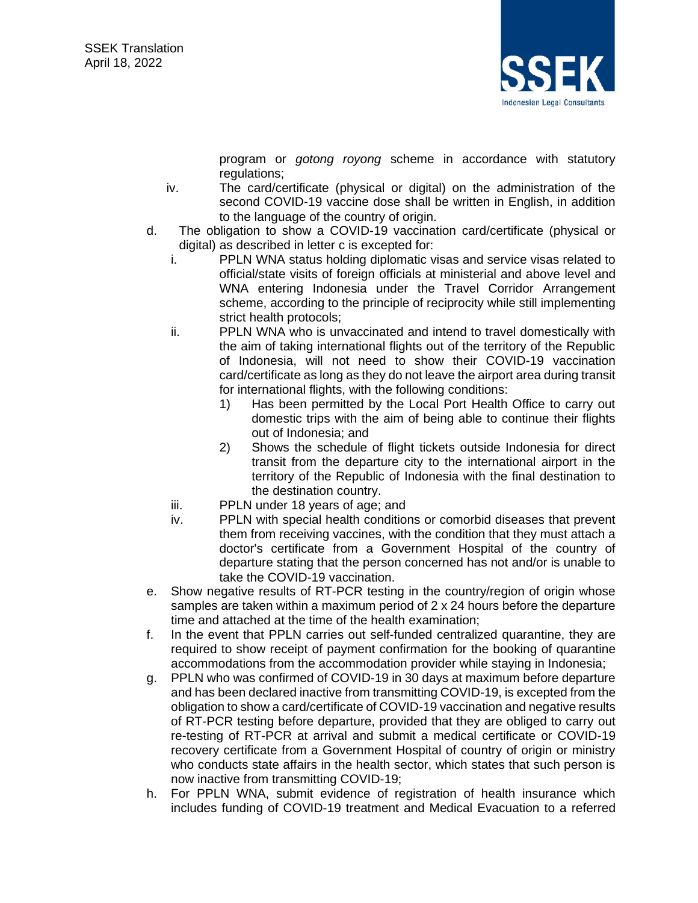

program or *gotong royong* scheme in accordance with statutory regulations;

- iv. The card/certificate (physical or digital) on the administration of the second COVID-19 vaccine dose shall be written in English, in addition to the language of the country of origin.
- d. The obligation to show a COVID-19 vaccination card/certificate (physical or digital) as described in letter c is excepted for:
	- i. PPLN WNA status holding diplomatic visas and service visas related to official/state visits of foreign officials at ministerial and above level and WNA entering Indonesia under the Travel Corridor Arrangement scheme, according to the principle of reciprocity while still implementing strict health protocols;
	- ii. PPLN WNA who is unvaccinated and intend to travel domestically with the aim of taking international flights out of the territory of the Republic of Indonesia, will not need to show their COVID-19 vaccination card/certificate as long as they do not leave the airport area during transit for international flights, with the following conditions:
		- 1) Has been permitted by the Local Port Health Office to carry out domestic trips with the aim of being able to continue their flights out of Indonesia; and
		- 2) Shows the schedule of flight tickets outside Indonesia for direct transit from the departure city to the international airport in the territory of the Republic of Indonesia with the final destination to the destination country.
	- iii. PPLN under 18 years of age; and
	- iv. PPLN with special health conditions or comorbid diseases that prevent them from receiving vaccines, with the condition that they must attach a doctor's certificate from a Government Hospital of the country of departure stating that the person concerned has not and/or is unable to take the COVID-19 vaccination.
- e. Show negative results of RT-PCR testing in the country/region of origin whose samples are taken within a maximum period of 2 x 24 hours before the departure time and attached at the time of the health examination;
- f. In the event that PPLN carries out self-funded centralized quarantine, they are required to show receipt of payment confirmation for the booking of quarantine accommodations from the accommodation provider while staying in Indonesia;
- g. PPLN who was confirmed of COVID-19 in 30 days at maximum before departure and has been declared inactive from transmitting COVID-19, is excepted from the obligation to show a card/certificate of COVID-19 vaccination and negative results of RT-PCR testing before departure, provided that they are obliged to carry out re-testing of RT-PCR at arrival and submit a medical certificate or COVID-19 recovery certificate from a Government Hospital of country of origin or ministry who conducts state affairs in the health sector, which states that such person is now inactive from transmitting COVID-19;
- h. For PPLN WNA, submit evidence of registration of health insurance which includes funding of COVID-19 treatment and Medical Evacuation to a referred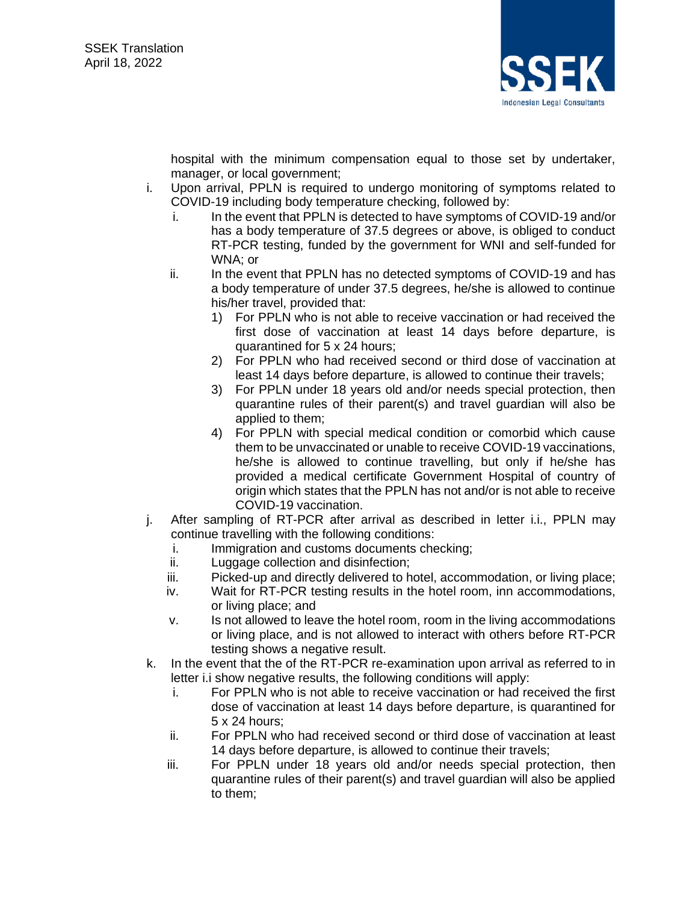

hospital with the minimum compensation equal to those set by undertaker, manager, or local government;

- i. Upon arrival, PPLN is required to undergo monitoring of symptoms related to COVID-19 including body temperature checking, followed by:
	- i. In the event that PPLN is detected to have symptoms of COVID-19 and/or has a body temperature of 37.5 degrees or above, is obliged to conduct RT-PCR testing, funded by the government for WNI and self-funded for WNA; or
	- ii. In the event that PPLN has no detected symptoms of COVID-19 and has a body temperature of under 37.5 degrees, he/she is allowed to continue his/her travel, provided that:
		- 1) For PPLN who is not able to receive vaccination or had received the first dose of vaccination at least 14 days before departure, is quarantined for 5 x 24 hours;
		- 2) For PPLN who had received second or third dose of vaccination at least 14 days before departure, is allowed to continue their travels;
		- 3) For PPLN under 18 years old and/or needs special protection, then quarantine rules of their parent(s) and travel guardian will also be applied to them;
		- 4) For PPLN with special medical condition or comorbid which cause them to be unvaccinated or unable to receive COVID-19 vaccinations, he/she is allowed to continue travelling, but only if he/she has provided a medical certificate Government Hospital of country of origin which states that the PPLN has not and/or is not able to receive COVID-19 vaccination.
- j. After sampling of RT-PCR after arrival as described in letter i.i., PPLN may continue travelling with the following conditions:
	- i. Immigration and customs documents checking;
	- ii. Luggage collection and disinfection;
	- iii. Picked-up and directly delivered to hotel, accommodation, or living place;
	- iv. Wait for RT-PCR testing results in the hotel room, inn accommodations, or living place; and
	- v. Is not allowed to leave the hotel room, room in the living accommodations or living place, and is not allowed to interact with others before RT-PCR testing shows a negative result.
- k. In the event that the of the RT-PCR re-examination upon arrival as referred to in letter i.i show negative results, the following conditions will apply:
	- i. For PPLN who is not able to receive vaccination or had received the first dose of vaccination at least 14 days before departure, is quarantined for 5 x 24 hours;
	- ii. For PPLN who had received second or third dose of vaccination at least 14 days before departure, is allowed to continue their travels;
	- iii. For PPLN under 18 years old and/or needs special protection, then quarantine rules of their parent(s) and travel guardian will also be applied to them;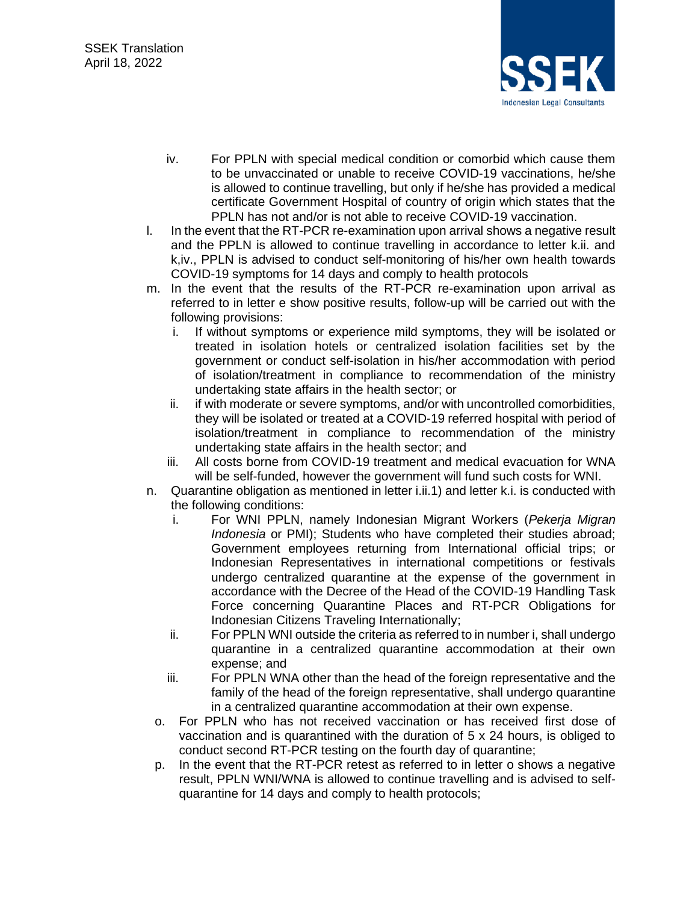

- iv. For PPLN with special medical condition or comorbid which cause them to be unvaccinated or unable to receive COVID-19 vaccinations, he/she is allowed to continue travelling, but only if he/she has provided a medical certificate Government Hospital of country of origin which states that the PPLN has not and/or is not able to receive COVID-19 vaccination.
- l. In the event that the RT-PCR re-examination upon arrival shows a negative result and the PPLN is allowed to continue travelling in accordance to letter k.ii. and k,iv., PPLN is advised to conduct self-monitoring of his/her own health towards COVID-19 symptoms for 14 days and comply to health protocols
- m. In the event that the results of the RT-PCR re-examination upon arrival as referred to in letter e show positive results, follow-up will be carried out with the following provisions:
	- i. If without symptoms or experience mild symptoms, they will be isolated or treated in isolation hotels or centralized isolation facilities set by the government or conduct self-isolation in his/her accommodation with period of isolation/treatment in compliance to recommendation of the ministry undertaking state affairs in the health sector; or
	- ii. if with moderate or severe symptoms, and/or with uncontrolled comorbidities, they will be isolated or treated at a COVID-19 referred hospital with period of isolation/treatment in compliance to recommendation of the ministry undertaking state affairs in the health sector; and
	- iii. All costs borne from COVID-19 treatment and medical evacuation for WNA will be self-funded, however the government will fund such costs for WNI.
- n. Quarantine obligation as mentioned in letter i.ii.1) and letter k.i. is conducted with the following conditions:
	- i. For WNI PPLN, namely Indonesian Migrant Workers (*Pekerja Migran Indonesia* or PMI); Students who have completed their studies abroad; Government employees returning from International official trips; or Indonesian Representatives in international competitions or festivals undergo centralized quarantine at the expense of the government in accordance with the Decree of the Head of the COVID-19 Handling Task Force concerning Quarantine Places and RT-PCR Obligations for Indonesian Citizens Traveling Internationally;
	- ii. For PPLN WNI outside the criteria as referred to in number i, shall undergo quarantine in a centralized quarantine accommodation at their own expense; and
	- iii. For PPLN WNA other than the head of the foreign representative and the family of the head of the foreign representative, shall undergo quarantine in a centralized quarantine accommodation at their own expense.
	- o. For PPLN who has not received vaccination or has received first dose of vaccination and is quarantined with the duration of 5 x 24 hours, is obliged to conduct second RT-PCR testing on the fourth day of quarantine;
	- p. In the event that the RT-PCR retest as referred to in letter o shows a negative result, PPLN WNI/WNA is allowed to continue travelling and is advised to selfquarantine for 14 days and comply to health protocols;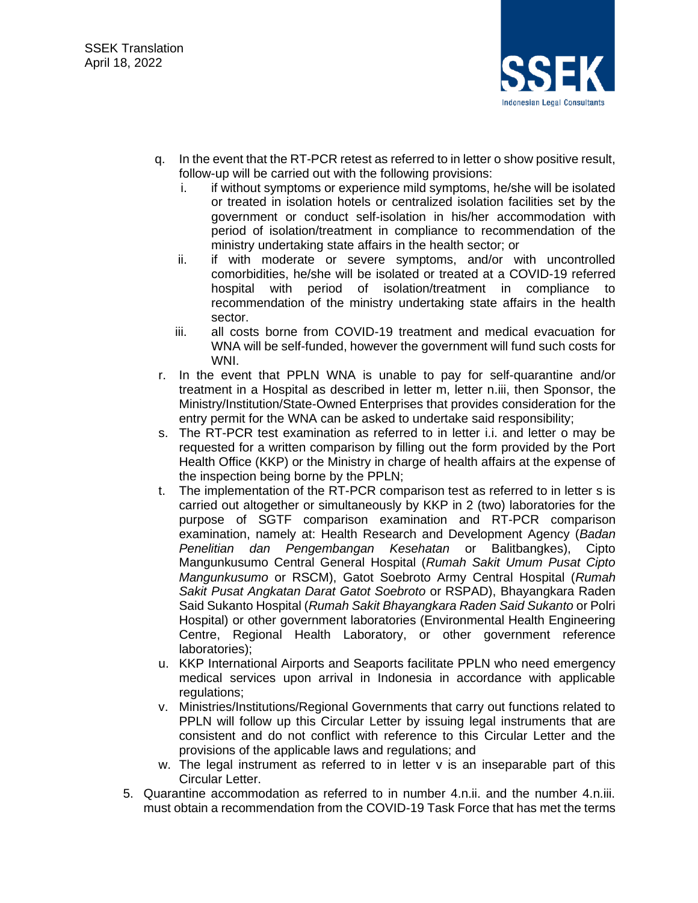

- q. In the event that the RT-PCR retest as referred to in letter o show positive result, follow-up will be carried out with the following provisions:
	- i. if without symptoms or experience mild symptoms, he/she will be isolated or treated in isolation hotels or centralized isolation facilities set by the government or conduct self-isolation in his/her accommodation with period of isolation/treatment in compliance to recommendation of the ministry undertaking state affairs in the health sector; or
	- ii. if with moderate or severe symptoms, and/or with uncontrolled comorbidities, he/she will be isolated or treated at a COVID-19 referred hospital with period of isolation/treatment in compliance to recommendation of the ministry undertaking state affairs in the health sector.
	- iii. all costs borne from COVID-19 treatment and medical evacuation for WNA will be self-funded, however the government will fund such costs for WNI.
- r. In the event that PPLN WNA is unable to pay for self-quarantine and/or treatment in a Hospital as described in letter m, letter n.iii, then Sponsor, the Ministry/Institution/State-Owned Enterprises that provides consideration for the entry permit for the WNA can be asked to undertake said responsibility;
- s. The RT-PCR test examination as referred to in letter i.i. and letter o may be requested for a written comparison by filling out the form provided by the Port Health Office (KKP) or the Ministry in charge of health affairs at the expense of the inspection being borne by the PPLN;
- t. The implementation of the RT-PCR comparison test as referred to in letter s is carried out altogether or simultaneously by KKP in 2 (two) laboratories for the purpose of SGTF comparison examination and RT-PCR comparison examination, namely at: Health Research and Development Agency (*Badan Penelitian dan Pengembangan Kesehatan* or Balitbangkes), Cipto Mangunkusumo Central General Hospital (*Rumah Sakit Umum Pusat Cipto Mangunkusumo* or RSCM), Gatot Soebroto Army Central Hospital (*Rumah Sakit Pusat Angkatan Darat Gatot Soebroto* or RSPAD), Bhayangkara Raden Said Sukanto Hospital (*Rumah Sakit Bhayangkara Raden Said Sukanto* or Polri Hospital) or other government laboratories (Environmental Health Engineering Centre, Regional Health Laboratory, or other government reference laboratories);
- u. KKP International Airports and Seaports facilitate PPLN who need emergency medical services upon arrival in Indonesia in accordance with applicable regulations:
- v. Ministries/Institutions/Regional Governments that carry out functions related to PPLN will follow up this Circular Letter by issuing legal instruments that are consistent and do not conflict with reference to this Circular Letter and the provisions of the applicable laws and regulations; and
- w. The legal instrument as referred to in letter v is an inseparable part of this Circular Letter.
- 5. Quarantine accommodation as referred to in number 4.n.ii. and the number 4.n.iii. must obtain a recommendation from the COVID-19 Task Force that has met the terms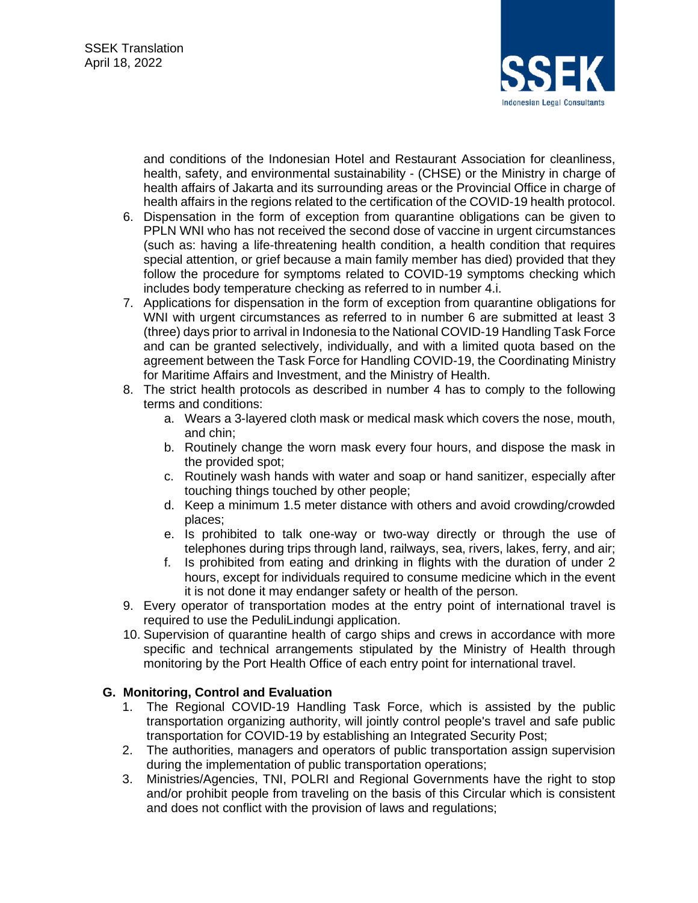

and conditions of the Indonesian Hotel and Restaurant Association for cleanliness, health, safety, and environmental sustainability - (CHSE) or the Ministry in charge of health affairs of Jakarta and its surrounding areas or the Provincial Office in charge of health affairs in the regions related to the certification of the COVID-19 health protocol.

- 6. Dispensation in the form of exception from quarantine obligations can be given to PPLN WNI who has not received the second dose of vaccine in urgent circumstances (such as: having a life-threatening health condition, a health condition that requires special attention, or grief because a main family member has died) provided that they follow the procedure for symptoms related to COVID-19 symptoms checking which includes body temperature checking as referred to in number 4.i.
- 7. Applications for dispensation in the form of exception from quarantine obligations for WNI with urgent circumstances as referred to in number 6 are submitted at least 3 (three) days prior to arrival in Indonesia to the National COVID-19 Handling Task Force and can be granted selectively, individually, and with a limited quota based on the agreement between the Task Force for Handling COVID-19, the Coordinating Ministry for Maritime Affairs and Investment, and the Ministry of Health.
- 8. The strict health protocols as described in number 4 has to comply to the following terms and conditions:
	- a. Wears a 3-layered cloth mask or medical mask which covers the nose, mouth, and chin;
	- b. Routinely change the worn mask every four hours, and dispose the mask in the provided spot;
	- c. Routinely wash hands with water and soap or hand sanitizer, especially after touching things touched by other people;
	- d. Keep a minimum 1.5 meter distance with others and avoid crowding/crowded places;
	- e. Is prohibited to talk one-way or two-way directly or through the use of telephones during trips through land, railways, sea, rivers, lakes, ferry, and air;
	- f. Is prohibited from eating and drinking in flights with the duration of under 2 hours, except for individuals required to consume medicine which in the event it is not done it may endanger safety or health of the person.
- 9. Every operator of transportation modes at the entry point of international travel is required to use the PeduliLindungi application.
- 10. Supervision of quarantine health of cargo ships and crews in accordance with more specific and technical arrangements stipulated by the Ministry of Health through monitoring by the Port Health Office of each entry point for international travel.

### **G. Monitoring, Control and Evaluation**

- 1. The Regional COVID-19 Handling Task Force, which is assisted by the public transportation organizing authority, will jointly control people's travel and safe public transportation for COVID-19 by establishing an Integrated Security Post;
- 2. The authorities, managers and operators of public transportation assign supervision during the implementation of public transportation operations;
- 3. Ministries/Agencies, TNI, POLRI and Regional Governments have the right to stop and/or prohibit people from traveling on the basis of this Circular which is consistent and does not conflict with the provision of laws and regulations;